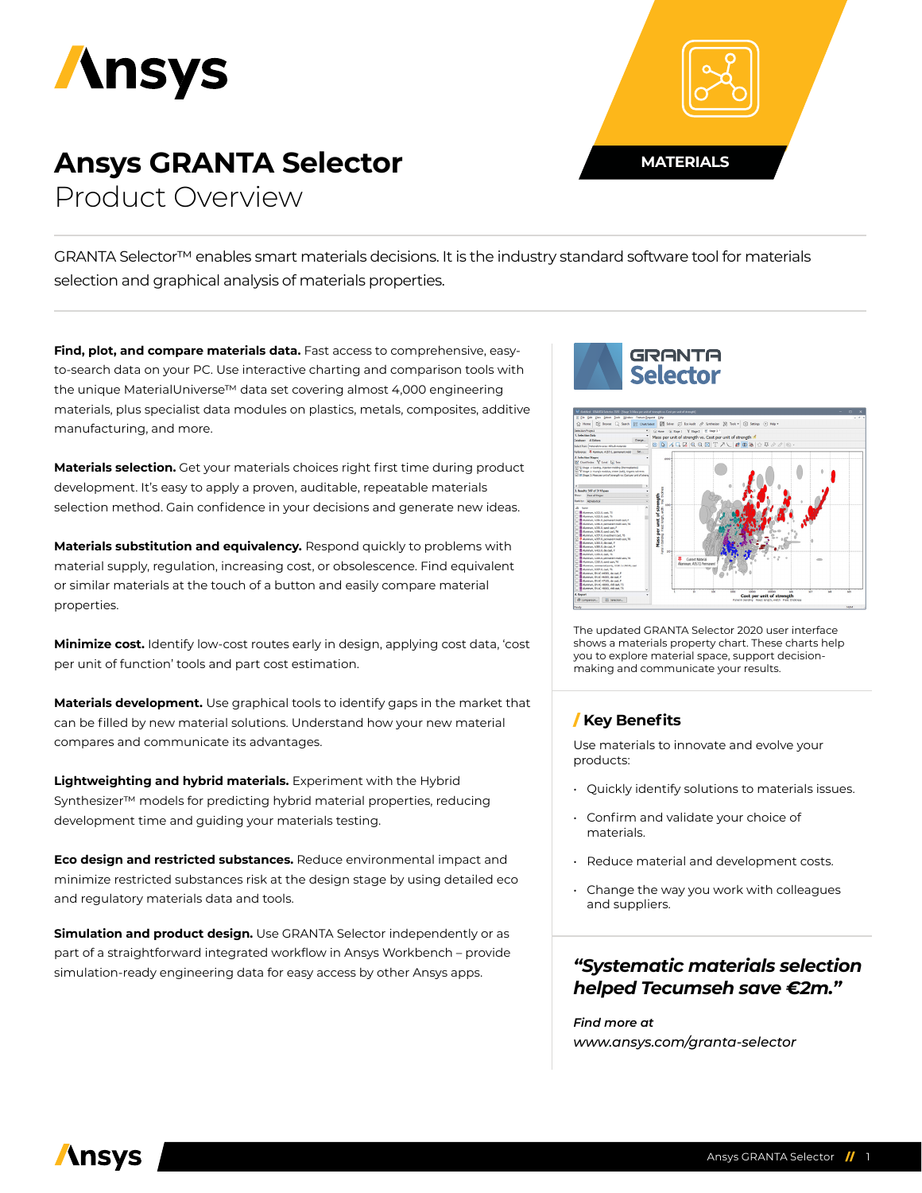

# **Ansys GRANTA Selector**

Product Overview

GRANTA Selector™ enables smart materials decisions. It is the industry standard software tool for materials selection and graphical analysis of materials properties.

**Find, plot, and compare materials data.** Fast access to comprehensive, easyto-search data on your PC. Use interactive charting and comparison tools with the unique MaterialUniverse™ data set covering almost 4,000 engineering materials, plus specialist data modules on plastics, metals, composites, additive manufacturing, and more.

**Materials selection.** Get your materials choices right first time during product development. It's easy to apply a proven, auditable, repeatable materials selection method. Gain confidence in your decisions and generate new ideas.

**Materials substitution and equivalency.** Respond quickly to problems with material supply, regulation, increasing cost, or obsolescence. Find equivalent or similar materials at the touch of a button and easily compare material properties.

**Minimize cost.** Identify low-cost routes early in design, applying cost data, 'cost per unit of function' tools and part cost estimation.

**Materials development.** Use graphical tools to identify gaps in the market that can be filled by new material solutions. Understand how your new material compares and communicate its advantages.

**Lightweighting and hybrid materials.** Experiment with the Hybrid Synthesizer™ models for predicting hybrid material properties, reducing development time and guiding your materials testing.

**Eco design and restricted substances.** Reduce environmental impact and minimize restricted substances risk at the design stage by using detailed eco and regulatory materials data and tools.

**Simulation and product design.** Use GRANTA Selector independently or as part of a straightforward integrated workflow in Ansys Workbench – provide simulation-ready engineering data for easy access by other Ansys apps.



**MATERIALS**



The updated GRANTA Selector 2020 user interface shows a materials property chart. These charts help you to explore material space, support decisionmaking and communicate your results.

## / **Key Benefits**

Use materials to innovate and evolve your products:

- Quickly identify solutions to materials issues.
- Confirm and validate your choice of materials.
- Reduce material and development costs.
- Change the way you work with colleagues and suppliers.

## *"Systematic materials selection helped Tecumseh save €2m."*

*Find more at www.ansys.com/granta-selector*

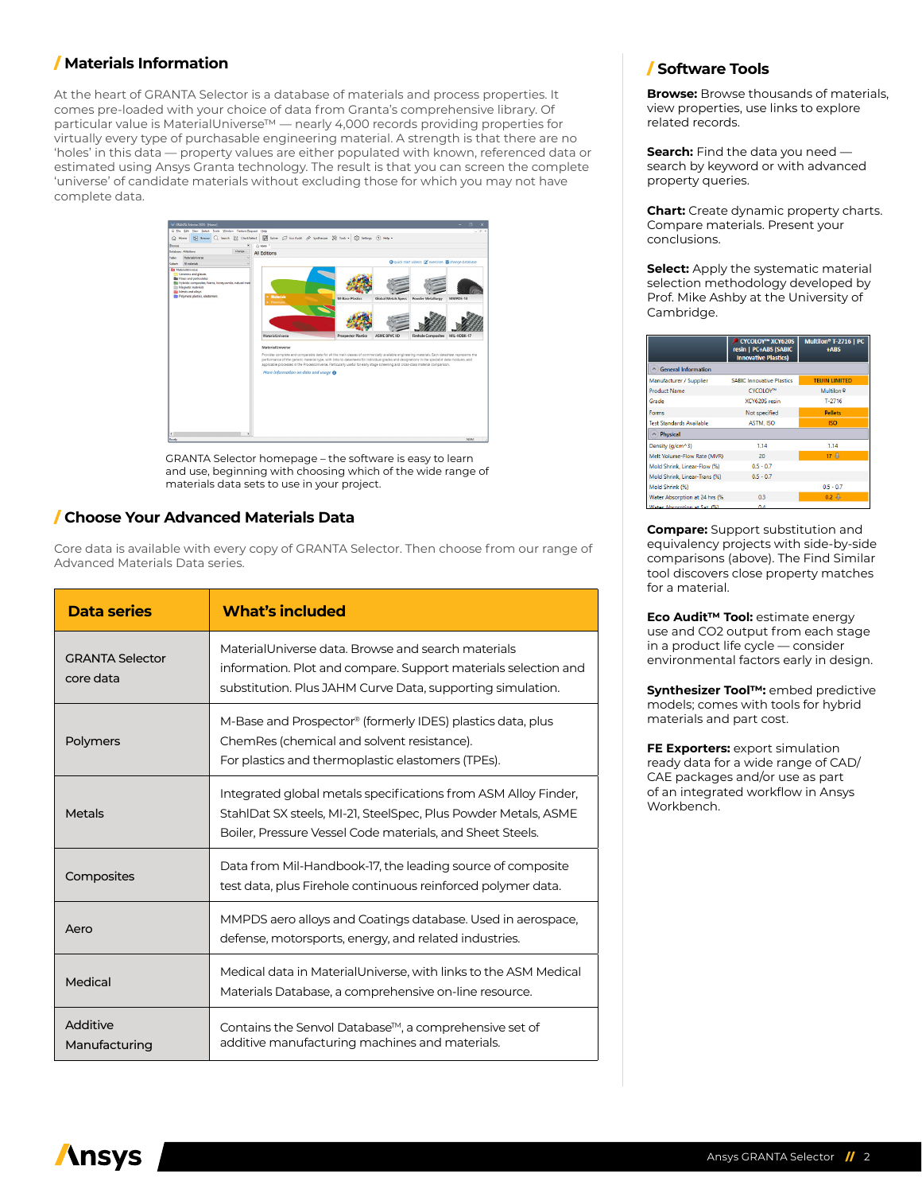## / **Materials Information**

At the heart of GRANTA Selector is a database of materials and process properties. It comes pre-loaded with your choice of data from Granta's comprehensive library. Of particular value is MaterialUniverse™ — nearly 4,000 records providing properties for virtually every type of purchasable engineering material. A strength is that there are no 'holes' in this data — property values are either populated with known, referenced data or estimated using Ansys Granta technology. The result is that you can screen the complete 'universe' of candidate materials without excluding those for which you may not have complete data.



GRANTA Selector homepage – the software is easy to learn and use, beginning with choosing which of the wide range of materials data sets to use in your project.

#### / **Choose Your Advanced Materials Data**

Core data is available with every copy of GRANTA Selector. Then choose from our range of Advanced Materials Data series.

| Data series                         | <b>What's included</b>                                                                                                                                                                        |
|-------------------------------------|-----------------------------------------------------------------------------------------------------------------------------------------------------------------------------------------------|
| <b>GRANTA Selector</b><br>core data | MaterialUniverse data. Browse and search materials<br>information. Plot and compare. Support materials selection and<br>substitution. Plus JAHM Curve Data, supporting simulation.            |
| Polymers                            | M-Base and Prospector® (formerly IDES) plastics data, plus<br>ChemRes (chemical and solvent resistance).<br>For plastics and thermoplastic elastomers (TPEs).                                 |
| <b>Metals</b>                       | Integrated global metals specifications from ASM Alloy Finder,<br>StahlDat SX steels, MI-21, SteelSpec, Plus Powder Metals, ASME<br>Boiler, Pressure Vessel Code materials, and Sheet Steels. |
| Composites                          | Data from Mil-Handbook-17, the leading source of composite<br>test data, plus Firehole continuous reinforced polymer data.                                                                    |
| Aero                                | MMPDS aero alloys and Coatings database. Used in aerospace,<br>defense, motorsports, energy, and related industries.                                                                          |
| Medical                             | Medical data in MaterialUniverse, with links to the ASM Medical<br>Materials Database, a comprehensive on-line resource.                                                                      |
| Additive<br>Manufacturing           | Contains the Senvol Database™, a comprehensive set of<br>additive manufacturing machines and materials.                                                                                       |

#### / **Software Tools**

**Browse:** Browse thousands of materials, view properties, use links to explore related records.

**Search:** Find the data you need search by keyword or with advanced property queries.

**Chart:** Create dynamic property charts. Compare materials. Present your conclusions.

**Select:** Apply the systematic material selection methodology developed by Prof. Mike Ashby at the University of Cambridge.

|                                 | CYCOLOY™ XCY620S<br>resin   PC+ABS (SABIC<br><b>Innovative Plastics)</b> | Multilon <sup>®</sup> T-2716   PC<br>+ARS |
|---------------------------------|--------------------------------------------------------------------------|-------------------------------------------|
| △ General Information           |                                                                          |                                           |
| Manufacturer / Supplier         | <b>SABIC Innovative Plastics</b>                                         | <b>TEIJIN LIMITED</b>                     |
| <b>Product Name</b>             | CYCOLOY™                                                                 | Multilon <sup>®</sup>                     |
| Grade                           | XCY620S resin                                                            | $T - 2716$                                |
| Forms                           | Not specified                                                            | <b>Pellets</b>                            |
| <b>Test Standards Available</b> | <b>ASTM, ISO</b>                                                         | <b>ISO</b>                                |
| A Physical                      |                                                                          |                                           |
| Density (g/cm^3)                | 1.14                                                                     | 1.14                                      |
| Melt Volume-Flow Rate (MVR)     | 20                                                                       | 17.3                                      |
| Mold Shrink, Linear-Flow (%)    | $0.5 - 0.7$                                                              |                                           |
| Mold Shrink, Linear-Trans (%)   | $0.5 - 0.7$                                                              |                                           |
| Mold Shrink (%)                 |                                                                          | $0.5 - 0.7$                               |
| Water Absorption at 24 hrs (%)  | 0.3                                                                      | $0.2 \frac{1}{2}$                         |
| Water Abcombion at Sat (%)      | $\mathbf{A}$                                                             |                                           |

**Compare:** Support substitution and equivalency projects with side-by-side comparisons (above). The Find Similar tool discovers close property matches for a material.

**Eco Audit™ Tool:** estimate energy use and CO2 output from each stage in a product life cycle — consider environmental factors early in design.

**Synthesizer Tool™:** embed predictive models; comes with tools for hybrid materials and part cost.

**FE Exporters:** export simulation ready data for a wide range of CAD/ CAE packages and/or use as part of an integrated workflow in Ansys Workbench.